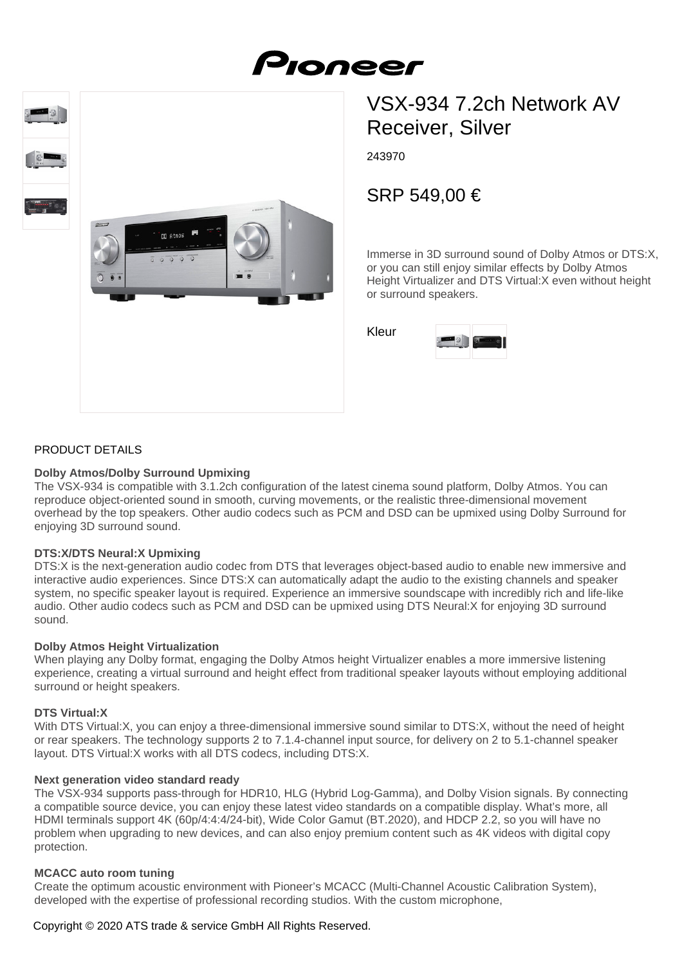

243970

# SRP 549,00 €

Immerse in 3D surround sound of Dolby Atmos or DTS:X, or you can still enjoy similar effects by Dolby Atmos Height Virtualizer and DTS Virtual:X even without height or surround speakers.



# PRODUCT DETAILS

## **Dolby Atmos/Dolby Surround Upmixing**

on Atmos

The VSX-934 is compatible with 3.1.2ch configuration of the latest cinema sound platform, Dolby Atmos. You can reproduce object-oriented sound in smooth, curving movements, or the realistic three-dimensional movement overhead by the top speakers. Other audio codecs such as PCM and DSD can be upmixed using Dolby Surround for enjoying 3D surround sound.

## **DTS:X/DTS Neural:X Upmixing**

DTS:X is the next-generation audio codec from DTS that leverages object-based audio to enable new immersive and interactive audio experiences. Since DTS:X can automatically adapt the audio to the existing channels and speaker system, no specific speaker layout is required. Experience an immersive soundscape with incredibly rich and life-like audio. Other audio codecs such as PCM and DSD can be upmixed using DTS Neural:X for enjoying 3D surround sound.

## **Dolby Atmos Height Virtualization**

When playing any Dolby format, engaging the Dolby Atmos height Virtualizer enables a more immersive listening experience, creating a virtual surround and height effect from traditional speaker layouts without employing additional surround or height speakers.

#### **DTS Virtual:X**

With DTS Virtual:X, you can enjoy a three-dimensional immersive sound similar to DTS:X, without the need of height or rear speakers. The technology supports 2 to 7.1.4-channel input source, for delivery on 2 to 5.1-channel speaker layout. DTS Virtual:X works with all DTS codecs, including DTS:X.

#### **Next generation video standard ready**

The VSX-934 supports pass-through for HDR10, HLG (Hybrid Log-Gamma), and Dolby Vision signals. By connecting a compatible source device, you can enjoy these latest video standards on a compatible display. What's more, all HDMI terminals support 4K (60p/4:4:4/24-bit), Wide Color Gamut (BT.2020), and HDCP 2.2, so you will have no problem when upgrading to new devices, and can also enjoy premium content such as 4K videos with digital copy protection.

## **MCACC auto room tuning**

Create the optimum acoustic environment with Pioneer's MCACC (Multi-Channel Acoustic Calibration System), developed with the expertise of professional recording studios. With the custom microphone,

# Copyright © 2020 ATS trade & service GmbH All Rights Reserved.